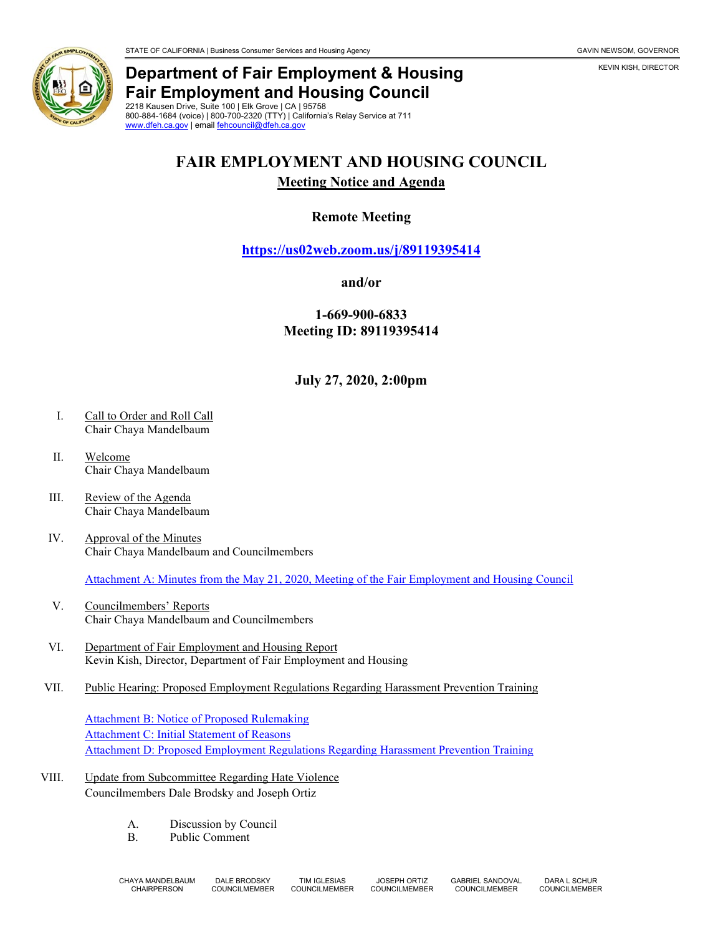

## **Department of Fair Employment & Housing Fair Employment and Housing Council**

2218 Kausen Drive, Suite 100 | Elk Grove | CA | 95758 800-884-1684 (voice) | 800-700-2320 (TTY) | California's Relay Service at 711 [www.dfeh.ca.gov](https://www.dfeh.ca.gov/) | email [fehcouncil@dfeh.ca.gov](mailto:fehcouncil@dfeh.ca.gov)

# **FAIR EMPLOYMENT AND HOUSING COUNCIL**

#### **Meeting Notice and Agenda**

### **Remote Meeting**

**<https://us02web.zoom.us/j/89119395414>**

#### **and/or**

**1-669-900-6833 Meeting ID: 89119395414**

**July 27, 2020, 2:00pm**

- I. Call to Order and Roll Call Chair Chaya Mandelbaum
- II. Welcome Chair Chaya Mandelbaum
- III. Review of the Agenda Chair Chaya Mandelbaum
- IV. Approval of the Minutes Chair Chaya Mandelbaum and Councilmembers

[Attachment A: Minutes from the May 21, 2020, Meeting of the Fair Employment and Housing Council](https://www.dfeh.ca.gov/wp-content/uploads/sites/32/2020/06/AttachA-FEHCouncilMinutes2020May21.pdf)

- V. Councilmembers' Reports Chair Chaya Mandelbaum and Councilmembers
- VI. Department of Fair Employment and Housing Report Kevin Kish, Director, Department of Fair Employment and Housing
- VII. Public Hearing: Proposed Employment Regulations Regarding Harassment Prevention Training

[Attachment B: Notice of Proposed Rulemaking](https://www.dfeh.ca.gov/wp-content/uploads/sites/32/2020/06/AttachB-NoticeEmployRegHarassmentPreventionTraining.pdf) [Attachment C: Initial Statement of Reasons](https://www.dfeh.ca.gov/wp-content/uploads/sites/32/2020/06/AttachC-InitStmtReasons4EmployRegHarassmentPreventionTraining.pdf) [Attachment D: Proposed Employment Regulations Regarding Harassment Prevention Training](https://www.dfeh.ca.gov/wp-content/uploads/sites/32/2020/06/AttachD-TextEmployRegHarassmentPreventionTraining.pdf)

- VIII. Update from Subcommittee Regarding Hate Violence Councilmembers Dale Brodsky and Joseph Ortiz
	- A. Discussion by Council<br>B. Public Comment
	- Public Comment